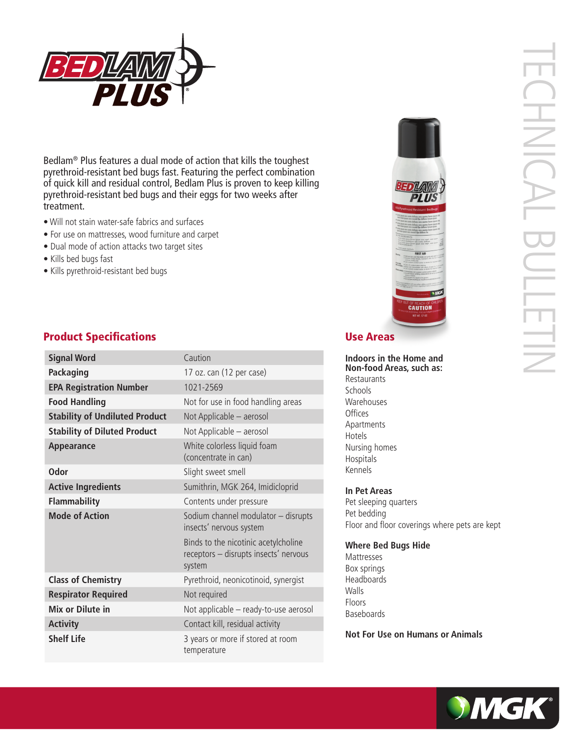

Bedlam® Plus features a dual mode of action that kills the toughest pyrethroid-resistant bed bugs fast. Featuring the perfect combination of quick kill and residual control, Bedlam Plus is proven to keep killing pyrethroid-resistant bed bugs and their eggs for two weeks after treatment.

- Will not stain water-safe fabrics and surfaces
- For use on mattresses, wood furniture and carpet
- Dual mode of action attacks two target sites
- Kills bed bugs fast
- Kills pyrethroid-resistant bed bugs

## **Product Specifications Exercise Areas** Use Areas

| <b>Signal Word</b>                    | Caution                                                                                 |
|---------------------------------------|-----------------------------------------------------------------------------------------|
| <b>Packaging</b>                      | 17 oz. can (12 per case)                                                                |
| <b>EPA Registration Number</b>        | 1021-2569                                                                               |
| <b>Food Handling</b>                  | Not for use in food handling areas                                                      |
| <b>Stability of Undiluted Product</b> | Not Applicable - aerosol                                                                |
| <b>Stability of Diluted Product</b>   | Not Applicable - aerosol                                                                |
| Appearance                            | White colorless liquid foam<br>(concentrate in can)                                     |
| <b>Odor</b>                           | Slight sweet smell                                                                      |
| <b>Active Ingredients</b>             | Sumithrin, MGK 264, Imidicloprid                                                        |
| <b>Flammability</b>                   | Contents under pressure                                                                 |
| <b>Mode of Action</b>                 | Sodium channel modulator - disrupts<br>insects' nervous system                          |
|                                       | Binds to the nicotinic acetylcholine<br>receptors - disrupts insects' nervous<br>system |
| <b>Class of Chemistry</b>             | Pyrethroid, neonicotinoid, synergist                                                    |
| <b>Respirator Required</b>            | Not required                                                                            |
| <b>Mix or Dilute in</b>               | Not applicable - ready-to-use aerosol                                                   |
| <b>Activity</b>                       | Contact kill, residual activity                                                         |
| <b>Shelf Life</b>                     | 3 years or more if stored at room<br>temperature                                        |

**Indoors in the Home and Non-food Areas, such as:** Restaurants Schools Warehouses **Offices** Apartments Hotels Nursing homes Hospitals Kennels

### **In Pet Areas**

Pet sleeping quarters Pet bedding Floor and floor coverings where pets are kept

**FIRST AID** 

CAUTION

**Where Bed Bugs Hide** Mattresses Box springs Headboards Walls Floors Baseboards

**Not For Use on Humans or Animals**